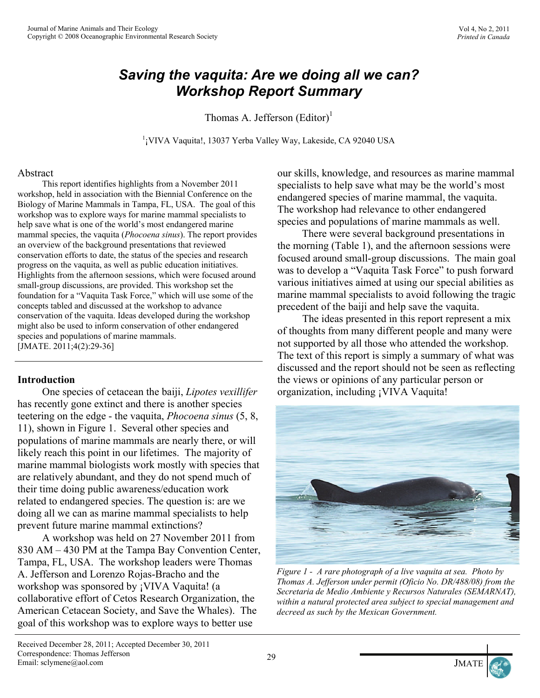# *Saving the vaquita: Are we doing all we can? Workshop Report Summary*

Thomas A. Jefferson  $(Editor)^1$ 

<sup>1</sup> VIVA Vaquita!, 13037 Yerba Valley Way, Lakeside, CA 92040 USA

#### Abstract

 This report identifies highlights from a November 2011 workshop, held in association with the Biennial Conference on the Biology of Marine Mammals in Tampa, FL, USA. The goal of this workshop was to explore ways for marine mammal specialists to help save what is one of the world's most endangered marine mammal species, the vaquita (*Phocoena sinus*). The report provides an overview of the background presentations that reviewed conservation efforts to date, the status of the species and research progress on the vaquita, as well as public education initiatives. Highlights from the afternoon sessions, which were focused around small-group discussions, are provided. This workshop set the foundation for a "Vaquita Task Force," which will use some of the concepts tabled and discussed at the workshop to advance conservation of the vaquita. Ideas developed during the workshop might also be used to inform conservation of other endangered species and populations of marine mammals. [JMATE. 2011;4(2):29-36]

#### **Introduction**

One species of cetacean the baiji, *Lipotes vexillifer* has recently gone extinct and there is another species teetering on the edge - the vaquita, *Phocoena sinus* (5, 8, 11), shown in Figure 1. Several other species and populations of marine mammals are nearly there, or will likely reach this point in our lifetimes. The majority of marine mammal biologists work mostly with species that are relatively abundant, and they do not spend much of their time doing public awareness/education work related to endangered species. The question is: are we doing all we can as marine mammal specialists to help prevent future marine mammal extinctions?

 A workshop was held on 27 November 2011 from 830 AM – 430 PM at the Tampa Bay Convention Center, Tampa, FL, USA. The workshop leaders were Thomas A. Jefferson and Lorenzo Rojas-Bracho and the workshop was sponsored by ¡VIVA Vaquita! (a collaborative effort of Cetos Research Organization, the American Cetacean Society, and Save the Whales). The goal of this workshop was to explore ways to better use

our skills, knowledge, and resources as marine mammal specialists to help save what may be the world's most endangered species of marine mammal, the vaquita. The workshop had relevance to other endangered species and populations of marine mammals as well.

 There were several background presentations in the morning (Table 1), and the afternoon sessions were focused around small-group discussions. The main goal was to develop a "Vaquita Task Force" to push forward various initiatives aimed at using our special abilities as marine mammal specialists to avoid following the tragic precedent of the baiji and help save the vaquita.

 The ideas presented in this report represent a mix of thoughts from many different people and many were not supported by all those who attended the workshop. The text of this report is simply a summary of what was discussed and the report should not be seen as reflecting the views or opinions of any particular person or organization, including ¡VIVA Vaquita!



*Figure 1 - A rare photograph of a live vaquita at sea. Photo by Thomas A. Jefferson under permit (Oficio No. DR/488/08) from the Secretaria de Medio Ambiente y Recursos Naturales (SEMARNAT), within a natural protected area subject to special management and decreed as such by the Mexican Government.*



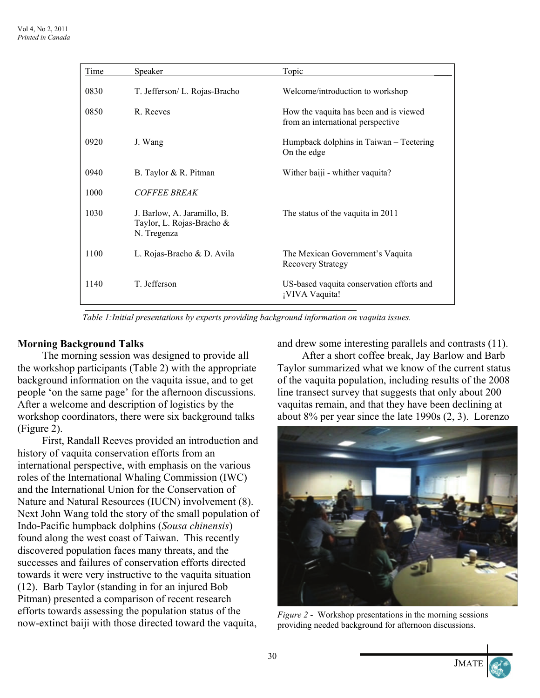| Time | Speaker                                                                 | Topic                                                                       |
|------|-------------------------------------------------------------------------|-----------------------------------------------------------------------------|
| 0830 | T. Jefferson/ L. Rojas-Bracho                                           | Welcome/introduction to workshop                                            |
| 0850 | R. Reeves                                                               | How the vaquita has been and is viewed<br>from an international perspective |
| 0920 | J. Wang                                                                 | Humpback dolphins in Taiwan – Teetering<br>On the edge                      |
| 0940 | B. Taylor & R. Pitman                                                   | Wither baiji - whither vaquita?                                             |
| 1000 | <b>COFFEE BREAK</b>                                                     |                                                                             |
| 1030 | J. Barlow, A. Jaramillo, B.<br>Taylor, L. Rojas-Bracho &<br>N. Tregenza | The status of the vaquita in 2011                                           |
| 1100 | L. Rojas-Bracho & D. Avila                                              | The Mexican Government's Vaquita<br><b>Recovery Strategy</b>                |
| 1140 | T. Jefferson                                                            | US-based vaquita conservation efforts and<br>¡VIVA Vaquita!                 |

*Table 1:Initial presentations by experts providing background information on vaquita issues.* 

## **Morning Background Talks**

 The morning session was designed to provide all the workshop participants (Table 2) with the appropriate background information on the vaquita issue, and to get people 'on the same page' for the afternoon discussions. After a welcome and description of logistics by the workshop coordinators, there were six background talks (Figure 2).

First, Randall Reeves provided an introduction and history of vaquita conservation efforts from an international perspective, with emphasis on the various roles of the International Whaling Commission (IWC) and the International Union for the Conservation of Nature and Natural Resources (IUCN) involvement (8). Next John Wang told the story of the small population of Indo-Pacific humpback dolphins (*Sousa chinensis*) found along the west coast of Taiwan. This recently discovered population faces many threats, and the successes and failures of conservation efforts directed towards it were very instructive to the vaquita situation (12). Barb Taylor (standing in for an injured Bob Pitman) presented a comparison of recent research efforts towards assessing the population status of the now-extinct baiji with those directed toward the vaquita,

and drew some interesting parallels and contrasts (11).

After a short coffee break, Jay Barlow and Barb Taylor summarized what we know of the current status of the vaquita population, including results of the 2008 line transect survey that suggests that only about 200 vaquitas remain, and that they have been declining at about 8% per year since the late 1990s (2, 3). Lorenzo



*Figure 2* - Workshop presentations in the morning sessions providing needed background for afternoon discussions.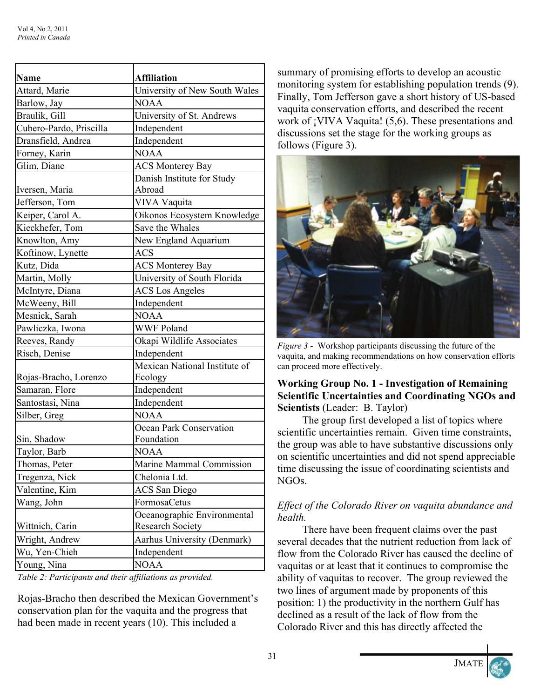| <b>Affiliation</b>                                     |
|--------------------------------------------------------|
| University of New South Wales                          |
| <b>NOAA</b>                                            |
| University of St. Andrews                              |
| Independent                                            |
| Independent                                            |
| <b>NOAA</b>                                            |
| <b>ACS Monterey Bay</b>                                |
| Danish Institute for Study                             |
| Abroad                                                 |
| VIVA Vaquita                                           |
| Oikonos Ecosystem Knowledge                            |
| Save the Whales                                        |
| New England Aquarium                                   |
| <b>ACS</b>                                             |
| <b>ACS Monterey Bay</b>                                |
| University of South Florida                            |
| <b>ACS</b> Los Angeles                                 |
| Independent                                            |
| <b>NOAA</b>                                            |
| <b>WWF Poland</b>                                      |
| Okapi Wildlife Associates                              |
| Independent                                            |
| Mexican National Institute of<br>Ecology               |
| Independent                                            |
| Independent                                            |
| <b>NOAA</b>                                            |
| <b>Ocean Park Conservation</b><br>Foundation           |
| <b>NOAA</b>                                            |
| Marine Mammal Commission                               |
| Chelonia Ltd.                                          |
| <b>ACS</b> San Diego                                   |
| FormosaCetus                                           |
| Oceanographic Environmental<br><b>Research Society</b> |
| Aarhus University (Denmark)                            |
| Independent                                            |
| <b>NOAA</b>                                            |
|                                                        |

*Table 2: Participants and their affiliations as provided.* 

Rojas-Bracho then described the Mexican Government's conservation plan for the vaquita and the progress that had been made in recent years (10). This included a

summary of promising efforts to develop an acoustic monitoring system for establishing population trends (9). Finally, Tom Jefferson gave a short history of US-based vaquita conservation efforts, and described the recent work of ¡VIVA Vaquita! (5,6). These presentations and discussions set the stage for the working groups as follows (Figure 3).



*Figure 3* - Workshop participants discussing the future of the vaquita, and making recommendations on how conservation efforts can proceed more effectively.

#### **Working Group No. 1 - Investigation of Remaining Scientific Uncertainties and Coordinating NGOs and Scientists** (Leader: B. Taylor)

 The group first developed a list of topics where scientific uncertainties remain. Given time constraints, the group was able to have substantive discussions only on scientific uncertainties and did not spend appreciable time discussing the issue of coordinating scientists and NGOs.

## *Effect of the Colorado River on vaquita abundance and health.*

 There have been frequent claims over the past several decades that the nutrient reduction from lack of flow from the Colorado River has caused the decline of vaquitas or at least that it continues to compromise the ability of vaquitas to recover. The group reviewed the two lines of argument made by proponents of this position: 1) the productivity in the northern Gulf has declined as a result of the lack of flow from the Colorado River and this has directly affected the



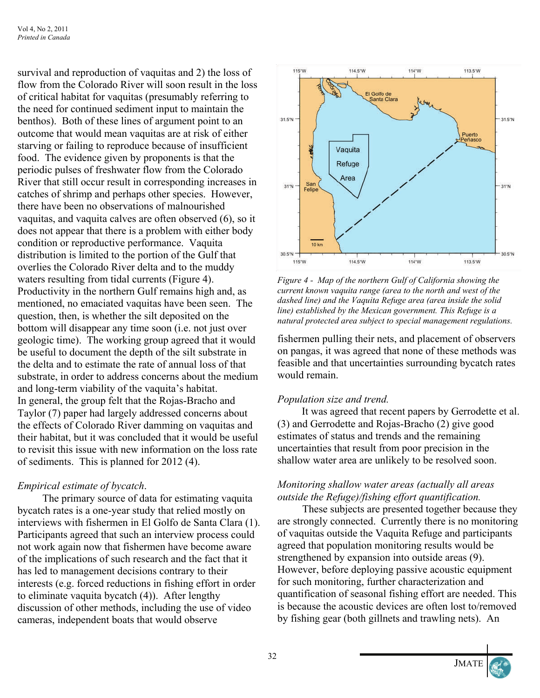survival and reproduction of vaquitas and 2) the loss of flow from the Colorado River will soon result in the loss of critical habitat for vaquitas (presumably referring to the need for continued sediment input to maintain the benthos). Both of these lines of argument point to an outcome that would mean vaquitas are at risk of either starving or failing to reproduce because of insufficient food. The evidence given by proponents is that the periodic pulses of freshwater flow from the Colorado River that still occur result in corresponding increases in catches of shrimp and perhaps other species. However, there have been no observations of malnourished vaquitas, and vaquita calves are often observed (6), so it does not appear that there is a problem with either body condition or reproductive performance. Vaquita distribution is limited to the portion of the Gulf that overlies the Colorado River delta and to the muddy waters resulting from tidal currents (Figure 4). Productivity in the northern Gulf remains high and, as mentioned, no emaciated vaquitas have been seen. The question, then, is whether the silt deposited on the bottom will disappear any time soon (i.e. not just over geologic time). The working group agreed that it would be useful to document the depth of the silt substrate in the delta and to estimate the rate of annual loss of that substrate, in order to address concerns about the medium and long-term viability of the vaquita's habitat. In general, the group felt that the Rojas-Bracho and Taylor (7) paper had largely addressed concerns about the effects of Colorado River damming on vaquitas and their habitat, but it was concluded that it would be useful to revisit this issue with new information on the loss rate of sediments. This is planned for 2012 (4).

## *Empirical estimate of bycatch*.

 The primary source of data for estimating vaquita bycatch rates is a one-year study that relied mostly on interviews with fishermen in El Golfo de Santa Clara (1). Participants agreed that such an interview process could not work again now that fishermen have become aware of the implications of such research and the fact that it has led to management decisions contrary to their interests (e.g. forced reductions in fishing effort in order to eliminate vaquita bycatch (4)). After lengthy discussion of other methods, including the use of video cameras, independent boats that would observe



*Figure 4 - Map of the northern Gulf of California showing the current known vaquita range (area to the north and west of the dashed line) and the Vaquita Refuge area (area inside the solid line) established by the Mexican government. This Refuge is a natural protected area subject to special management regulations.* 

fishermen pulling their nets, and placement of observers on pangas, it was agreed that none of these methods was feasible and that uncertainties surrounding bycatch rates would remain.

#### *Population size and trend.*

 It was agreed that recent papers by Gerrodette et al. (3) and Gerrodette and Rojas-Bracho (2) give good estimates of status and trends and the remaining uncertainties that result from poor precision in the shallow water area are unlikely to be resolved soon.

#### *Monitoring shallow water areas (actually all areas outside the Refuge)/fishing effort quantification.*

 These subjects are presented together because they are strongly connected. Currently there is no monitoring of vaquitas outside the Vaquita Refuge and participants agreed that population monitoring results would be strengthened by expansion into outside areas (9). However, before deploying passive acoustic equipment for such monitoring, further characterization and quantification of seasonal fishing effort are needed. This is because the acoustic devices are often lost to/removed by fishing gear (both gillnets and trawling nets). An



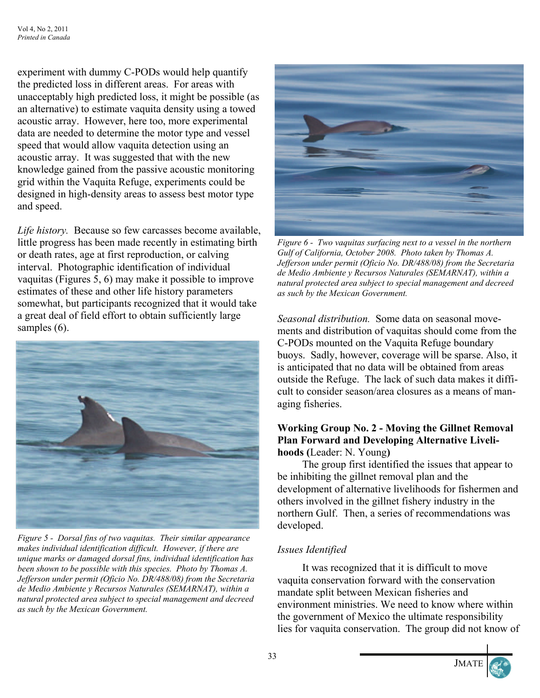experiment with dummy C-PODs would help quantify the predicted loss in different areas. For areas with unacceptably high predicted loss, it might be possible (as an alternative) to estimate vaquita density using a towed acoustic array. However, here too, more experimental data are needed to determine the motor type and vessel speed that would allow vaquita detection using an acoustic array. It was suggested that with the new knowledge gained from the passive acoustic monitoring grid within the Vaquita Refuge, experiments could be designed in high-density areas to assess best motor type and speed.

*Life history.* Because so few carcasses become available, little progress has been made recently in estimating birth or death rates, age at first reproduction, or calving interval. Photographic identification of individual vaquitas (Figures 5, 6) may make it possible to improve estimates of these and other life history parameters somewhat, but participants recognized that it would take a great deal of field effort to obtain sufficiently large samples (6).



*Figure 5 - Dorsal fins of two vaquitas. Their similar appearance makes individual identification difficult. However, if there are unique marks or damaged dorsal fins, individual identification has been shown to be possible with this species. Photo by Thomas A. Jefferson under permit (Oficio No. DR/488/08) from the Secretaria de Medio Ambiente y Recursos Naturales (SEMARNAT), within a natural protected area subject to special management and decreed as such by the Mexican Government.*



*Figure 6 - Two vaquitas surfacing next to a vessel in the northern Gulf of California, October 2008. Photo taken by Thomas A. Jefferson under permit (Oficio No. DR/488/08) from the Secretaria de Medio Ambiente y Recursos Naturales (SEMARNAT), within a natural protected area subject to special management and decreed as such by the Mexican Government.* 

*Seasonal distribution.* Some data on seasonal movements and distribution of vaquitas should come from the C-PODs mounted on the Vaquita Refuge boundary buoys. Sadly, however, coverage will be sparse. Also, it is anticipated that no data will be obtained from areas outside the Refuge. The lack of such data makes it difficult to consider season/area closures as a means of managing fisheries.

#### **Working Group No. 2 - Moving the Gillnet Removal Plan Forward and Developing Alternative Livelihoods (**Leader: N. Young**)**

 The group first identified the issues that appear to be inhibiting the gillnet removal plan and the development of alternative livelihoods for fishermen and others involved in the gillnet fishery industry in the northern Gulf. Then, a series of recommendations was developed.

# *Issues Identified*

 It was recognized that it is difficult to move vaquita conservation forward with the conservation mandate split between Mexican fisheries and environment ministries. We need to know where within the government of Mexico the ultimate responsibility lies for vaquita conservation. The group did not know of



**JMATE**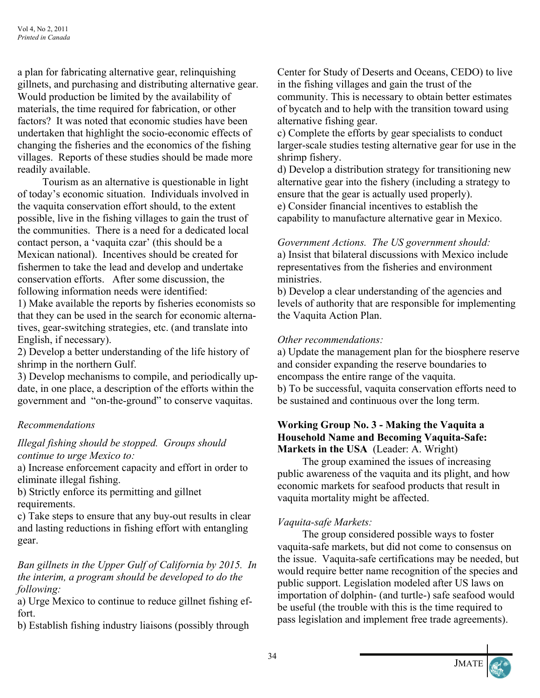a plan for fabricating alternative gear, relinquishing gillnets, and purchasing and distributing alternative gear. Would production be limited by the availability of materials, the time required for fabrication, or other factors? It was noted that economic studies have been undertaken that highlight the socio-economic effects of changing the fisheries and the economics of the fishing villages. Reports of these studies should be made more readily available.

 Tourism as an alternative is questionable in light of today's economic situation. Individuals involved in the vaquita conservation effort should, to the extent possible, live in the fishing villages to gain the trust of the communities. There is a need for a dedicated local contact person, a 'vaquita czar' (this should be a Mexican national). Incentives should be created for fishermen to take the lead and develop and undertake conservation efforts. After some discussion, the following information needs were identified:

1) Make available the reports by fisheries economists so that they can be used in the search for economic alternatives, gear-switching strategies, etc. (and translate into English, if necessary).

2) Develop a better understanding of the life history of shrimp in the northern Gulf.

3) Develop mechanisms to compile, and periodically update, in one place, a description of the efforts within the government and "on-the-ground" to conserve vaquitas.

## *Recommendations*

## *Illegal fishing should be stopped. Groups should continue to urge Mexico to:*

a) Increase enforcement capacity and effort in order to eliminate illegal fishing.

b) Strictly enforce its permitting and gillnet requirements.

c) Take steps to ensure that any buy-out results in clear and lasting reductions in fishing effort with entangling gear.

# *Ban gillnets in the Upper Gulf of California by 2015. In the interim, a program should be developed to do the following:*

a) Urge Mexico to continue to reduce gillnet fishing effort.

b) Establish fishing industry liaisons (possibly through

Center for Study of Deserts and Oceans, CEDO) to live in the fishing villages and gain the trust of the community. This is necessary to obtain better estimates of bycatch and to help with the transition toward using alternative fishing gear.

c) Complete the efforts by gear specialists to conduct larger-scale studies testing alternative gear for use in the shrimp fishery.

d) Develop a distribution strategy for transitioning new alternative gear into the fishery (including a strategy to ensure that the gear is actually used properly). e) Consider financial incentives to establish the capability to manufacture alternative gear in Mexico.

*Government Actions. The US government should:*  a) Insist that bilateral discussions with Mexico include representatives from the fisheries and environment ministries.

b) Develop a clear understanding of the agencies and levels of authority that are responsible for implementing the Vaquita Action Plan.

## *Other recommendations:*

a) Update the management plan for the biosphere reserve and consider expanding the reserve boundaries to encompass the entire range of the vaquita. b) To be successful, vaquita conservation efforts need to be sustained and continuous over the long term.

#### **Working Group No. 3 - Making the Vaquita a Household Name and Becoming Vaquita-Safe: Markets in the USA** (Leader: A. Wright)

 The group examined the issues of increasing public awareness of the vaquita and its plight, and how economic markets for seafood products that result in vaquita mortality might be affected.

## *Vaquita-safe Markets:*

 The group considered possible ways to foster vaquita-safe markets, but did not come to consensus on the issue. Vaquita-safe certifications may be needed, but would require better name recognition of the species and public support. Legislation modeled after US laws on importation of dolphin- (and turtle-) safe seafood would be useful (the trouble with this is the time required to pass legislation and implement free trade agreements).

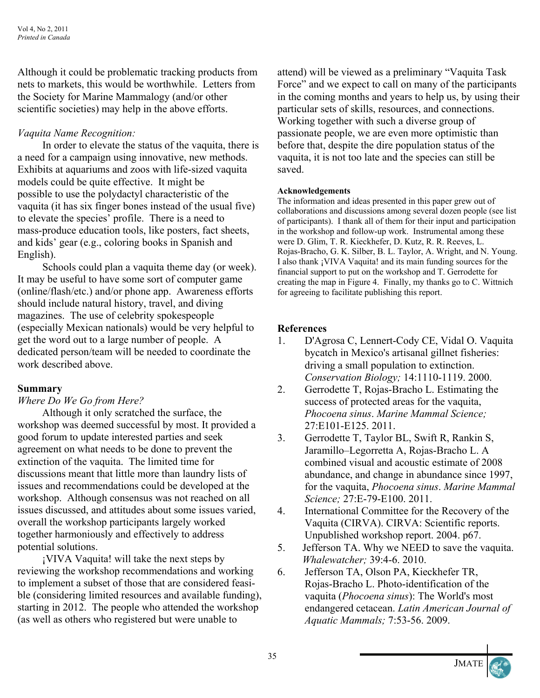Although it could be problematic tracking products from nets to markets, this would be worthwhile. Letters from the Society for Marine Mammalogy (and/or other scientific societies) may help in the above efforts.

# *Vaquita Name Recognition:*

In order to elevate the status of the vaquita, there is a need for a campaign using innovative, new methods. Exhibits at aquariums and zoos with life-sized vaquita models could be quite effective. It might be possible to use the polydactyl characteristic of the vaquita (it has six finger bones instead of the usual five) to elevate the species' profile. There is a need to mass-produce education tools, like posters, fact sheets, and kids' gear (e.g., coloring books in Spanish and English).

 Schools could plan a vaquita theme day (or week). It may be useful to have some sort of computer game (online/flash/etc.) and/or phone app. Awareness efforts should include natural history, travel, and diving magazines. The use of celebrity spokespeople (especially Mexican nationals) would be very helpful to get the word out to a large number of people. A dedicated person/team will be needed to coordinate the work described above.

## **Summary**

## *Where Do We Go from Here?*

 Although it only scratched the surface, the workshop was deemed successful by most. It provided a good forum to update interested parties and seek agreement on what needs to be done to prevent the extinction of the vaquita. The limited time for discussions meant that little more than laundry lists of issues and recommendations could be developed at the workshop. Although consensus was not reached on all issues discussed, and attitudes about some issues varied, overall the workshop participants largely worked together harmoniously and effectively to address potential solutions.

 ¡VIVA Vaquita! will take the next steps by reviewing the workshop recommendations and working to implement a subset of those that are considered feasible (considering limited resources and available funding), starting in 2012. The people who attended the workshop (as well as others who registered but were unable to

attend) will be viewed as a preliminary "Vaquita Task Force" and we expect to call on many of the participants in the coming months and years to help us, by using their particular sets of skills, resources, and connections. Working together with such a diverse group of passionate people, we are even more optimistic than before that, despite the dire population status of the vaquita, it is not too late and the species can still be saved.

#### **Acknowledgements**

The information and ideas presented in this paper grew out of collaborations and discussions among several dozen people (see list of participants). I thank all of them for their input and participation in the workshop and follow-up work. Instrumental among these were D. Glim, T. R. Kieckhefer, D. Kutz, R. R. Reeves, L. Rojas-Bracho, G. K. Silber, B. L. Taylor, A. Wright, and N. Young. I also thank ¡VIVA Vaquita! and its main funding sources for the financial support to put on the workshop and T. Gerrodette for creating the map in Figure 4. Finally, my thanks go to C. Wittnich for agreeing to facilitate publishing this report.

## **References**

- 1. D'Agrosa C, Lennert-Cody CE, Vidal O. Vaquita bycatch in Mexico's artisanal gillnet fisheries: driving a small population to extinction. *Conservation Biology;* 14:1110-1119. 2000.
- 2. Gerrodette T, Rojas-Bracho L. Estimating the success of protected areas for the vaquita, *Phocoena sinus*. *Marine Mammal Science;* 27:E101-E125. 2011.
- 3. Gerrodette T, Taylor BL, Swift R, Rankin S, Jaramillo–Legorretta A, Rojas-Bracho L. A combined visual and acoustic estimate of 2008 abundance, and change in abundance since 1997, for the vaquita, *Phocoena sinus*. *Marine Mammal Science;* 27:E-79-E100. 2011.
- 4. International Committee for the Recovery of the Vaquita (CIRVA). CIRVA: Scientific reports. Unpublished workshop report. 2004. p67.
- 5. Jefferson TA. Why we NEED to save the vaquita. *Whalewatcher;* 39:4-6. 2010.
- 6. Jefferson TA, Olson PA, Kieckhefer TR, Rojas-Bracho L. Photo-identification of the vaquita (*Phocoena sinus*): The World's most endangered cetacean. *Latin American Journal of Aquatic Mammals;* 7:53-56. 2009.